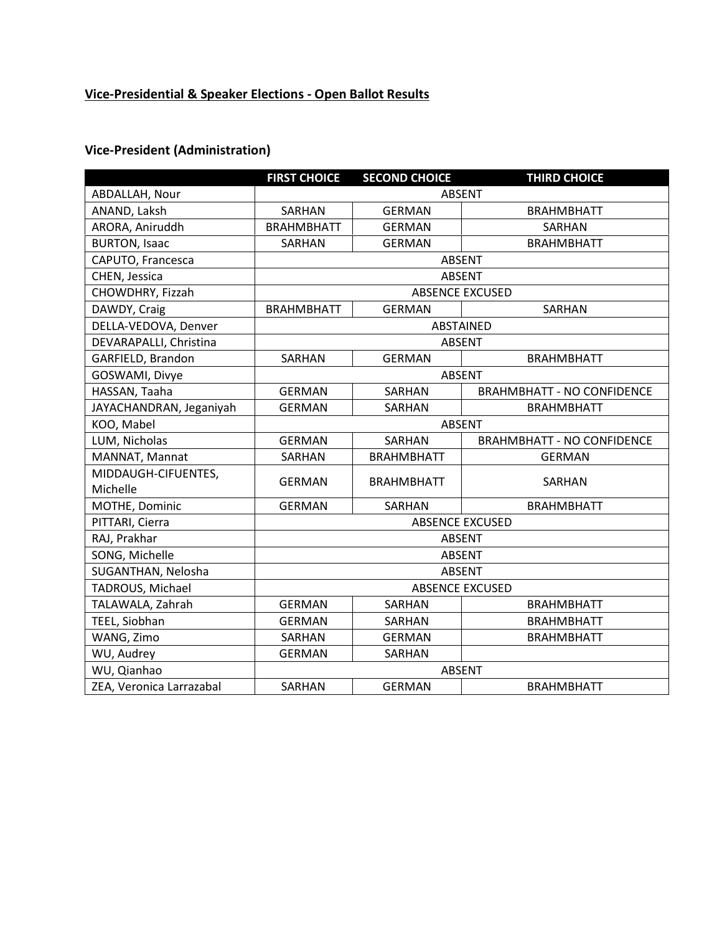# **Vice-Presidential & Speaker Elections - Open Ballot Results**

### **Vice-President (Administration)**

|                          | <b>FIRST CHOICE</b>    | <b>SECOND CHOICE</b> | <b>THIRD CHOICE</b>               |  |
|--------------------------|------------------------|----------------------|-----------------------------------|--|
| ABDALLAH, Nour           | <b>ABSENT</b>          |                      |                                   |  |
| ANAND, Laksh             | SARHAN                 | <b>GERMAN</b>        | <b>BRAHMBHATT</b>                 |  |
| ARORA, Aniruddh          | <b>BRAHMBHATT</b>      | <b>GERMAN</b>        | SARHAN                            |  |
| <b>BURTON, Isaac</b>     | SARHAN                 | <b>GERMAN</b>        | <b>BRAHMBHATT</b>                 |  |
| CAPUTO, Francesca        | <b>ABSENT</b>          |                      |                                   |  |
| CHEN, Jessica            | <b>ABSENT</b>          |                      |                                   |  |
| CHOWDHRY, Fizzah         | <b>ABSENCE EXCUSED</b> |                      |                                   |  |
| DAWDY, Craig             | <b>BRAHMBHATT</b>      | <b>GERMAN</b>        | SARHAN                            |  |
| DELLA-VEDOVA, Denver     | ABSTAINED              |                      |                                   |  |
| DEVARAPALLI, Christina   | <b>ABSENT</b>          |                      |                                   |  |
| GARFIELD, Brandon        | SARHAN                 | <b>GERMAN</b>        | <b>BRAHMBHATT</b>                 |  |
| GOSWAMI, Divye           | <b>ABSENT</b>          |                      |                                   |  |
| HASSAN, Taaha            | <b>GERMAN</b>          | <b>SARHAN</b>        | <b>BRAHMBHATT - NO CONFIDENCE</b> |  |
| JAYACHANDRAN, Jeganiyah  | <b>GERMAN</b>          | SARHAN               | <b>BRAHMBHATT</b>                 |  |
| KOO, Mabel               | <b>ABSENT</b>          |                      |                                   |  |
| LUM, Nicholas            | <b>GERMAN</b>          | <b>SARHAN</b>        | <b>BRAHMBHATT - NO CONFIDENCE</b> |  |
| MANNAT, Mannat           | SARHAN                 | <b>BRAHMBHATT</b>    | <b>GERMAN</b>                     |  |
| MIDDAUGH-CIFUENTES,      | <b>GERMAN</b>          | <b>BRAHMBHATT</b>    | SARHAN                            |  |
| Michelle                 |                        |                      |                                   |  |
| MOTHE, Dominic           | <b>GERMAN</b>          | <b>SARHAN</b>        | <b>BRAHMBHATT</b>                 |  |
| PITTARI, Cierra          | <b>ABSENCE EXCUSED</b> |                      |                                   |  |
| RAJ, Prakhar             | <b>ABSENT</b>          |                      |                                   |  |
| SONG, Michelle           | <b>ABSENT</b>          |                      |                                   |  |
| SUGANTHAN, Nelosha       | <b>ABSENT</b>          |                      |                                   |  |
| TADROUS, Michael         | <b>ABSENCE EXCUSED</b> |                      |                                   |  |
| TALAWALA, Zahrah         | <b>GERMAN</b>          | SARHAN               | <b>BRAHMBHATT</b>                 |  |
| TEEL, Siobhan            | <b>GERMAN</b>          | <b>SARHAN</b>        | <b>BRAHMBHATT</b>                 |  |
| WANG, Zimo               | SARHAN                 | <b>GERMAN</b>        | <b>BRAHMBHATT</b>                 |  |
| WU, Audrey               | <b>GERMAN</b>          | SARHAN               |                                   |  |
| WU, Qianhao              | <b>ABSENT</b>          |                      |                                   |  |
| ZEA, Veronica Larrazabal | SARHAN                 | <b>GERMAN</b>        | <b>BRAHMBHATT</b>                 |  |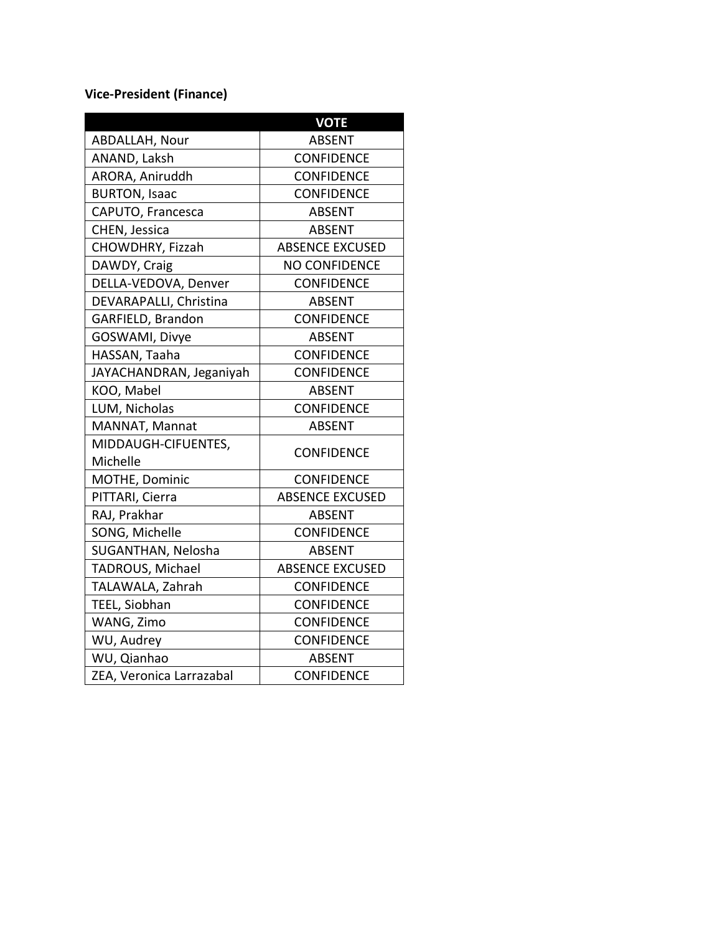# **Vice-President (Finance)**

|                          | <b>VOTE</b>            |  |
|--------------------------|------------------------|--|
| ABDALLAH, Nour           | <b>ABSENT</b>          |  |
| ANAND, Laksh             | <b>CONFIDENCE</b>      |  |
| ARORA, Aniruddh          | <b>CONFIDENCE</b>      |  |
| <b>BURTON, Isaac</b>     | <b>CONFIDENCE</b>      |  |
| CAPUTO, Francesca        | <b>ABSENT</b>          |  |
| CHEN, Jessica            | <b>ABSENT</b>          |  |
| CHOWDHRY, Fizzah         | <b>ABSENCE EXCUSED</b> |  |
| DAWDY, Craig             | <b>NO CONFIDENCE</b>   |  |
| DELLA-VEDOVA, Denver     | <b>CONFIDENCE</b>      |  |
| DEVARAPALLI, Christina   | <b>ABSENT</b>          |  |
| GARFIELD, Brandon        | <b>CONFIDENCE</b>      |  |
| GOSWAMI, Divye           | <b>ABSENT</b>          |  |
| HASSAN, Taaha            | <b>CONFIDENCE</b>      |  |
| JAYACHANDRAN, Jeganiyah  | <b>CONFIDENCE</b>      |  |
| KOO, Mabel               | <b>ABSENT</b>          |  |
| LUM, Nicholas            | <b>CONFIDENCE</b>      |  |
| MANNAT, Mannat           | <b>ABSENT</b>          |  |
| MIDDAUGH-CIFUENTES,      | <b>CONFIDENCE</b>      |  |
| Michelle                 |                        |  |
| MOTHE, Dominic           | <b>CONFIDENCE</b>      |  |
| PITTARI, Cierra          | <b>ABSENCE EXCUSED</b> |  |
| RAJ, Prakhar             | <b>ABSENT</b>          |  |
| SONG, Michelle           | CONFIDENCE             |  |
| SUGANTHAN, Nelosha       | <b>ABSENT</b>          |  |
| TADROUS, Michael         | <b>ABSENCE EXCUSED</b> |  |
| TALAWALA, Zahrah         | <b>CONFIDENCE</b>      |  |
| TEEL, Siobhan            | <b>CONFIDENCE</b>      |  |
| WANG, Zimo               | <b>CONFIDENCE</b>      |  |
| WU, Audrey               | <b>CONFIDENCE</b>      |  |
| WU, Qianhao              | <b>ABSENT</b>          |  |
| ZEA, Veronica Larrazabal | <b>CONFIDENCE</b>      |  |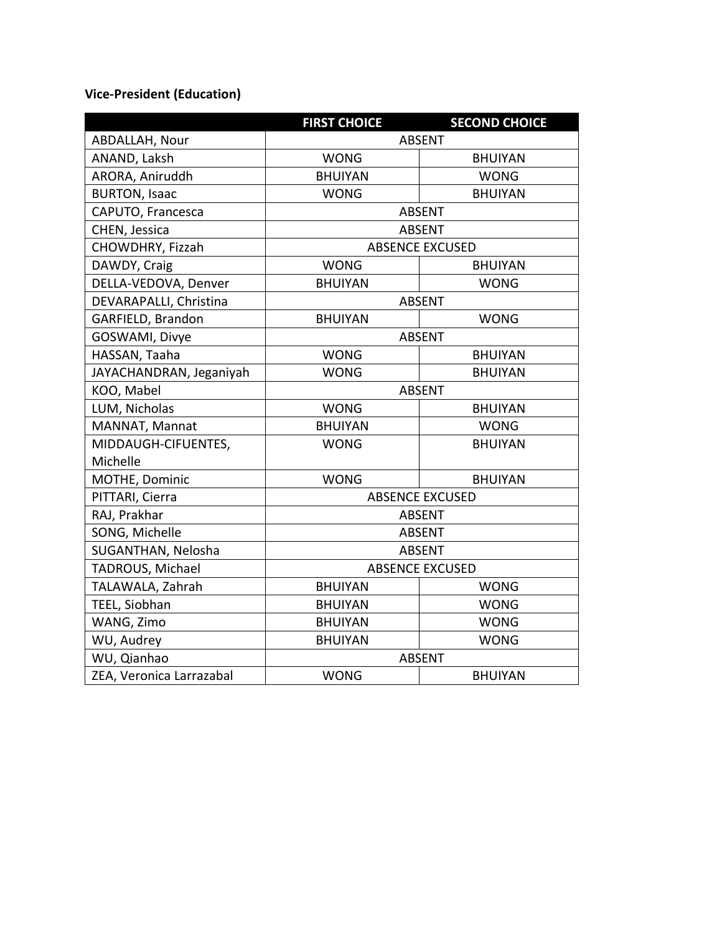# **Vice-President (Education)**

|                          | <b>FIRST CHOICE</b>    | <b>SECOND CHOICE</b> |  |
|--------------------------|------------------------|----------------------|--|
| ABDALLAH, Nour           | <b>ABSENT</b>          |                      |  |
| ANAND, Laksh             | <b>WONG</b>            | <b>BHUIYAN</b>       |  |
| ARORA, Aniruddh          | <b>BHUIYAN</b>         | <b>WONG</b>          |  |
| <b>BURTON, Isaac</b>     | <b>WONG</b>            | <b>BHUIYAN</b>       |  |
| CAPUTO, Francesca        | <b>ABSENT</b>          |                      |  |
| CHEN, Jessica            | <b>ABSENT</b>          |                      |  |
| CHOWDHRY, Fizzah         | <b>ABSENCE EXCUSED</b> |                      |  |
| DAWDY, Craig             | <b>WONG</b>            | <b>BHUIYAN</b>       |  |
| DELLA-VEDOVA, Denver     | <b>BHUIYAN</b>         | <b>WONG</b>          |  |
| DEVARAPALLI, Christina   | <b>ABSENT</b>          |                      |  |
| GARFIELD, Brandon        | <b>BHUIYAN</b>         | <b>WONG</b>          |  |
| GOSWAMI, Divye           | <b>ABSENT</b>          |                      |  |
| HASSAN, Taaha            | <b>WONG</b>            | <b>BHUIYAN</b>       |  |
| JAYACHANDRAN, Jeganiyah  | <b>WONG</b>            | <b>BHUIYAN</b>       |  |
| KOO, Mabel               | <b>ABSENT</b>          |                      |  |
| LUM, Nicholas            | <b>WONG</b>            | <b>BHUIYAN</b>       |  |
| MANNAT, Mannat           | <b>BHUIYAN</b>         | <b>WONG</b>          |  |
| MIDDAUGH-CIFUENTES,      | <b>WONG</b>            | <b>BHUIYAN</b>       |  |
| Michelle                 |                        |                      |  |
| MOTHE, Dominic           | <b>WONG</b>            | <b>BHUIYAN</b>       |  |
| PITTARI, Cierra          | <b>ABSENCE EXCUSED</b> |                      |  |
| RAJ, Prakhar             | <b>ABSENT</b>          |                      |  |
| SONG, Michelle           | <b>ABSENT</b>          |                      |  |
| SUGANTHAN, Nelosha       | <b>ABSENT</b>          |                      |  |
| TADROUS, Michael         | <b>ABSENCE EXCUSED</b> |                      |  |
| TALAWALA, Zahrah         | <b>BHUIYAN</b>         | <b>WONG</b>          |  |
| TEEL, Siobhan            | <b>BHUIYAN</b>         | <b>WONG</b>          |  |
| WANG, Zimo               | <b>BHUIYAN</b>         | <b>WONG</b>          |  |
| WU, Audrey               | <b>BHUIYAN</b>         | <b>WONG</b>          |  |
| WU, Qianhao              | <b>ABSENT</b>          |                      |  |
| ZEA, Veronica Larrazabal | <b>WONG</b>            | <b>BHUIYAN</b>       |  |